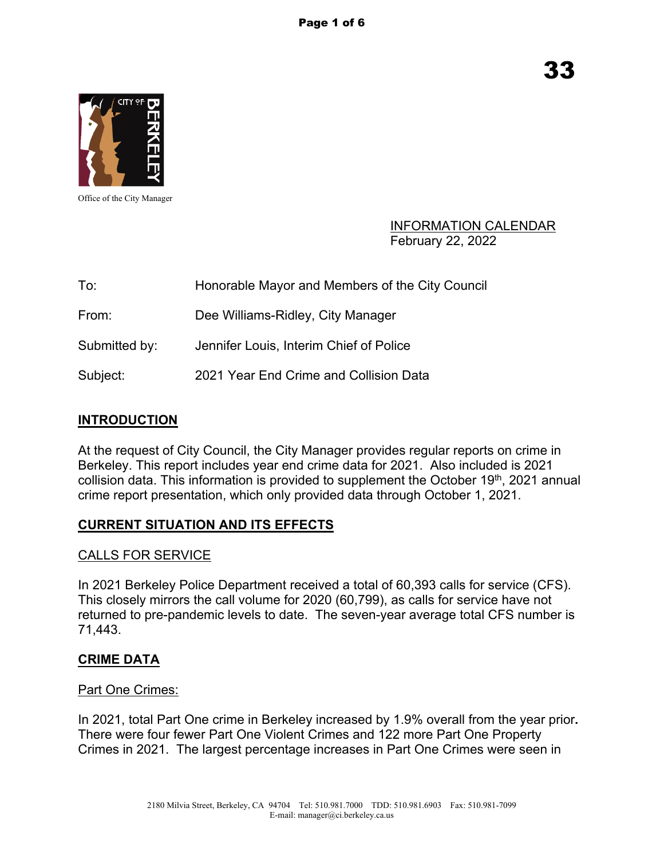

Office of the City Manager

#### INFORMATION CALENDAR February 22, 2022

| To:           | Honorable Mayor and Members of the City Council |
|---------------|-------------------------------------------------|
| From:         | Dee Williams-Ridley, City Manager               |
| Submitted by: | Jennifer Louis, Interim Chief of Police         |
| Subject:      | 2021 Year End Crime and Collision Data          |

### **INTRODUCTION**

At the request of City Council, the City Manager provides regular reports on crime in Berkeley. This report includes year end crime data for 2021. Also included is 2021 collision data. This information is provided to supplement the October 19<sup>th</sup>, 2021 annual crime report presentation, which only provided data through October 1, 2021.

### **CURRENT SITUATION AND ITS EFFECTS**

#### CALLS FOR SERVICE

In 2021 Berkeley Police Department received a total of 60,393 calls for service (CFS). This closely mirrors the call volume for 2020 (60,799), as calls for service have not returned to pre-pandemic levels to date. The seven-year average total CFS number is 71,443.

#### **CRIME DATA**

#### Part One Crimes:

In 2021, total Part One crime in Berkeley increased by 1.9% overall from the year prior**.**  There were four fewer Part One Violent Crimes and 122 more Part One Property Crimes in 2021. The largest percentage increases in Part One Crimes were seen in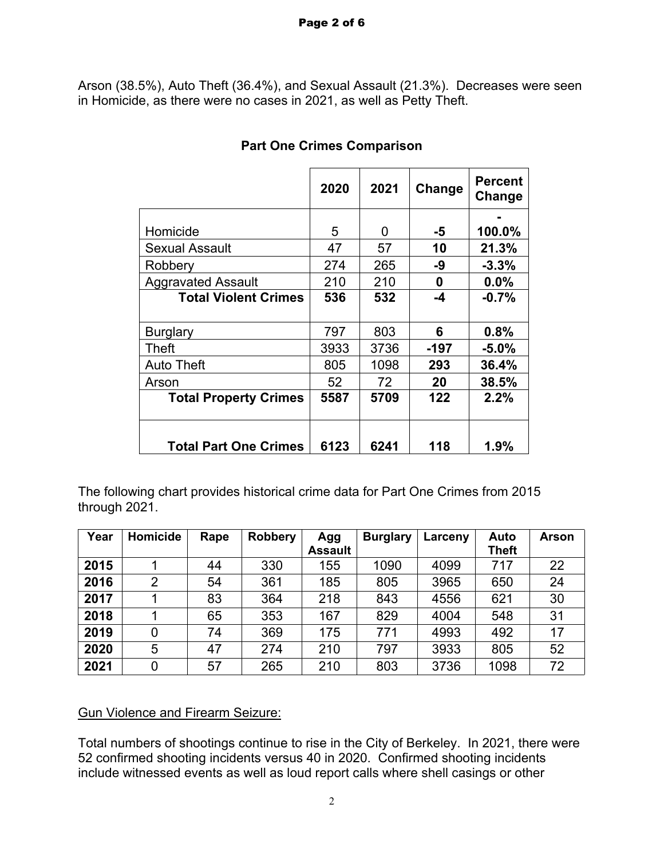Arson (38.5%), Auto Theft (36.4%), and Sexual Assault (21.3%). Decreases were seen in Homicide, as there were no cases in 2021, as well as Petty Theft.

|                              | 2020 | 2021 | Change | <b>Percent</b><br>Change |
|------------------------------|------|------|--------|--------------------------|
|                              |      |      |        |                          |
| Homicide                     | 5    | 0    | -5     | 100.0%                   |
| <b>Sexual Assault</b>        | 47   | 57   | 10     | 21.3%                    |
| Robbery                      | 274  | 265  | -9     | $-3.3%$                  |
| <b>Aggravated Assault</b>    | 210  | 210  | 0      | 0.0%                     |
| <b>Total Violent Crimes</b>  | 536  | 532  | $-4$   | $-0.7%$                  |
| <b>Burglary</b>              | 797  | 803  | 6      | 0.8%                     |
| Theft                        | 3933 | 3736 | -197   | $-5.0\%$                 |
| <b>Auto Theft</b>            | 805  | 1098 | 293    | 36.4%                    |
| Arson                        | 52   | 72   | 20     | 38.5%                    |
| <b>Total Property Crimes</b> | 5587 | 5709 | 122    | 2.2%                     |
| <b>Total Part One Crimes</b> | 6123 | 6241 | 118    | $1.9\%$                  |

# **Part One Crimes Comparison**

The following chart provides historical crime data for Part One Crimes from 2015 through 2021.

| Year | Homicide | Rape | <b>Robbery</b> | Agg            | <b>Burglary</b> | Larceny | Auto         | Arson |
|------|----------|------|----------------|----------------|-----------------|---------|--------------|-------|
|      |          |      |                | <b>Assault</b> |                 |         | <b>Theft</b> |       |
| 2015 |          | 44   | 330            | 155            | 1090            | 4099    | 717          | 22    |
| 2016 | 2        | 54   | 361            | 185            | 805             | 3965    | 650          | 24    |
| 2017 |          | 83   | 364            | 218            | 843             | 4556    | 621          | 30    |
| 2018 |          | 65   | 353            | 167            | 829             | 4004    | 548          | 31    |
| 2019 | 0        | 74   | 369            | 175            | 771             | 4993    | 492          | 17    |
| 2020 | 5        | 47   | 274            | 210            | 797             | 3933    | 805          | 52    |
| 2021 | 0        | 57   | 265            | 210            | 803             | 3736    | 1098         | 72    |

### Gun Violence and Firearm Seizure:

Total numbers of shootings continue to rise in the City of Berkeley. In 2021, there were 52 confirmed shooting incidents versus 40 in 2020. Confirmed shooting incidents include witnessed events as well as loud report calls where shell casings or other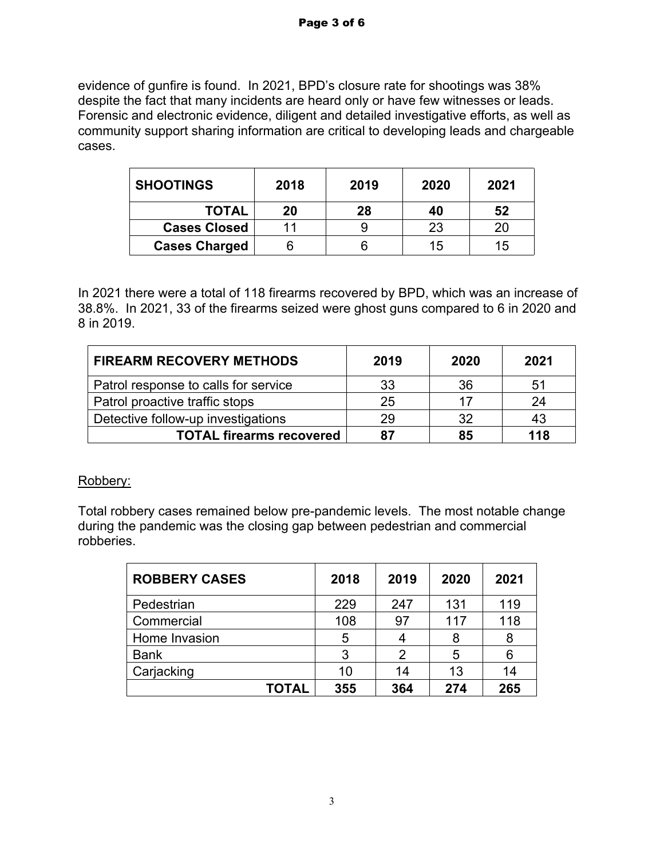evidence of gunfire is found. In 2021, BPD's closure rate for shootings was 38% despite the fact that many incidents are heard only or have few witnesses or leads. Forensic and electronic evidence, diligent and detailed investigative efforts, as well as community support sharing information are critical to developing leads and chargeable cases.

| <b>SHOOTINGS</b>     | 2018 | 2019 | 2020 | 2021 |
|----------------------|------|------|------|------|
| <b>TOTAL</b>         | 20   | 28   | 40   | 52   |
| <b>Cases Closed</b>  | 11   |      | 23   | 20   |
| <b>Cases Charged</b> |      |      | 15   | 15   |

In 2021 there were a total of 118 firearms recovered by BPD, which was an increase of 38.8%. In 2021, 33 of the firearms seized were ghost guns compared to 6 in 2020 and 8 in 2019.

| <b>FIREARM RECOVERY METHODS</b>      | 2019 | 2020 | 2021 |
|--------------------------------------|------|------|------|
| Patrol response to calls for service | 33   | 36   | 51   |
| Patrol proactive traffic stops       | 25   | 17   | 24   |
| Detective follow-up investigations   | 29   | 32   | 43   |
| <b>TOTAL firearms recovered</b>      | 87   | 85   | 118  |

### Robbery:

Total robbery cases remained below pre-pandemic levels. The most notable change during the pandemic was the closing gap between pedestrian and commercial robberies.

| <b>ROBBERY CASES</b> | 2018 | 2019 | 2020 | 2021 |
|----------------------|------|------|------|------|
| Pedestrian           | 229  | 247  | 131  | 119  |
| Commercial           | 108  | 97   | 117  | 118  |
| Home Invasion        | 5    | 4    | 8    | 8    |
| <b>Bank</b>          | 3    | 2    | 5    | 6    |
| Carjacking           | 10   | 14   | 13   | 14   |
| TOTAL                | 355  | 364  | 274  | 265  |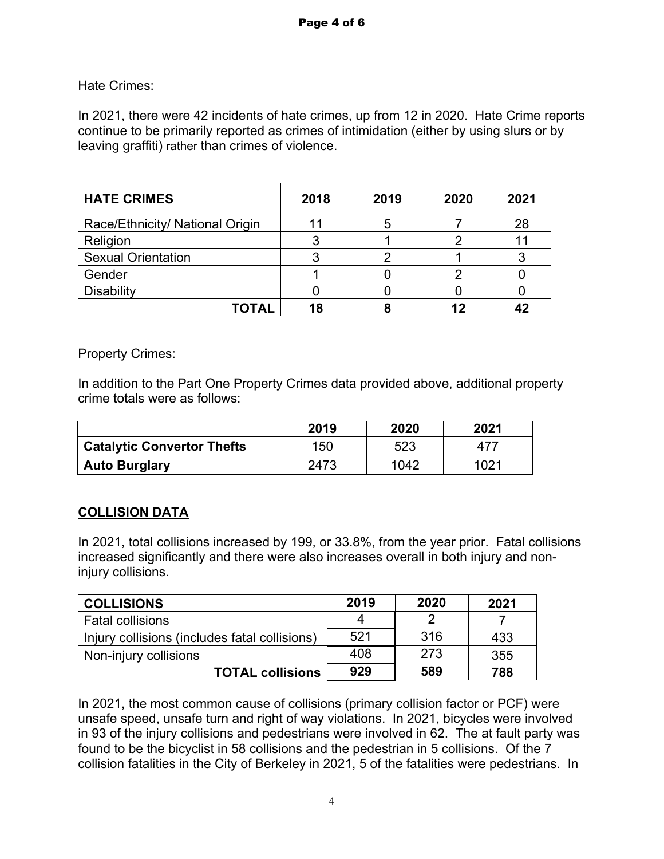# Hate Crimes:

In 2021, there were 42 incidents of hate crimes, up from 12 in 2020. Hate Crime reports continue to be primarily reported as crimes of intimidation (either by using slurs or by leaving graffiti) rather than crimes of violence.

| <b>HATE CRIMES</b>              | 2018 | 2019 | 2020 | 2021 |
|---------------------------------|------|------|------|------|
| Race/Ethnicity/ National Origin |      |      |      | 28   |
| Religion                        |      |      | ヮ    | 11   |
| <b>Sexual Orientation</b>       |      |      |      |      |
| Gender                          |      |      |      |      |
| <b>Disability</b>               |      |      |      |      |
| ΤΟΤΑL                           | 18   |      | 12   | 47   |

### Property Crimes:

In addition to the Part One Property Crimes data provided above, additional property crime totals were as follows:

|                                   | 2019 | 2020 | 2021 |
|-----------------------------------|------|------|------|
| <b>Catalytic Convertor Thefts</b> | 150  | 523  |      |
| <b>Auto Burglary</b>              | 2473 | 1042 | 1021 |

# **COLLISION DATA**

In 2021, total collisions increased by 199, or 33.8%, from the year prior. Fatal collisions increased significantly and there were also increases overall in both injury and noninjury collisions.

| <b>COLLISIONS</b>                             | 2019 | 2020 | 2021 |
|-----------------------------------------------|------|------|------|
| <b>Fatal collisions</b>                       | 4    | ∍    |      |
| Injury collisions (includes fatal collisions) | 521  | 316  | 433  |
| Non-injury collisions                         | 408  | 273  | 355  |
| <b>TOTAL collisions</b>                       | 929  | 589  | 788  |

In 2021, the most common cause of collisions (primary collision factor or PCF) were unsafe speed, unsafe turn and right of way violations. In 2021, bicycles were involved in 93 of the injury collisions and pedestrians were involved in 62. The at fault party was found to be the bicyclist in 58 collisions and the pedestrian in 5 collisions. Of the 7 collision fatalities in the City of Berkeley in 2021, 5 of the fatalities were pedestrians. In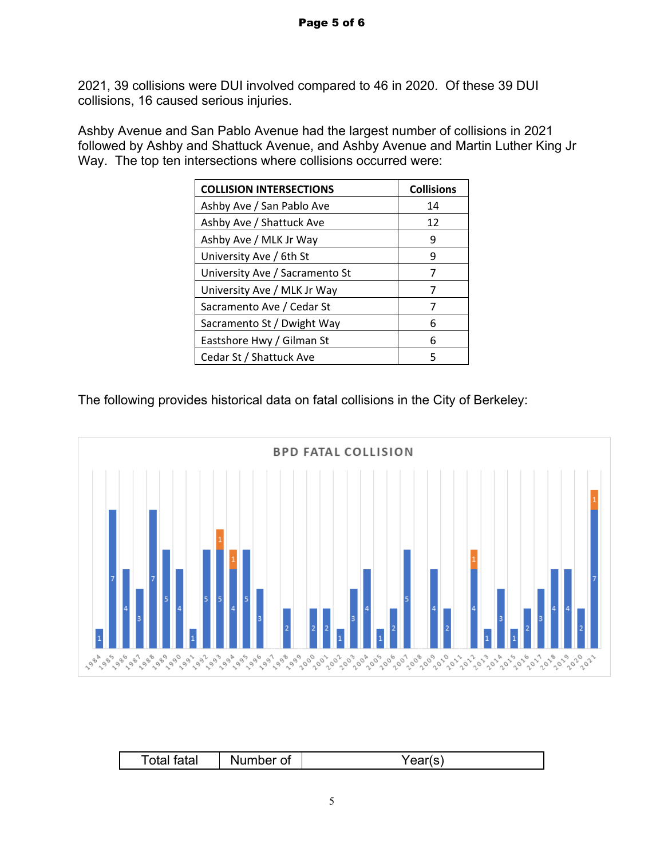2021, 39 collisions were DUI involved compared to 46 in 2020. Of these 39 DUI collisions, 16 caused serious injuries.

Ashby Avenue and San Pablo Avenue had the largest number of collisions in 2021 followed by Ashby and Shattuck Avenue, and Ashby Avenue and Martin Luther King Jr Way. The top ten intersections where collisions occurred were:

| <b>COLLISION INTERSECTIONS</b> | <b>Collisions</b> |
|--------------------------------|-------------------|
| Ashby Ave / San Pablo Ave      | 14                |
| Ashby Ave / Shattuck Ave       | 12                |
| Ashby Ave / MLK Jr Way         | 9                 |
| University Ave / 6th St        | 9                 |
| University Ave / Sacramento St |                   |
| University Ave / MLK Jr Way    | 7                 |
| Sacramento Ave / Cedar St      | 7                 |
| Sacramento St / Dwight Way     | 6                 |
| Eastshore Hwy / Gilman St      | 6                 |
| Cedar St / Shattuck Ave        | 5                 |

The following provides historical data on fatal collisions in the City of Berkeley:



|               | $ -$     |  |
|---------------|----------|--|
| ∼<br>---<br>. | ________ |  |